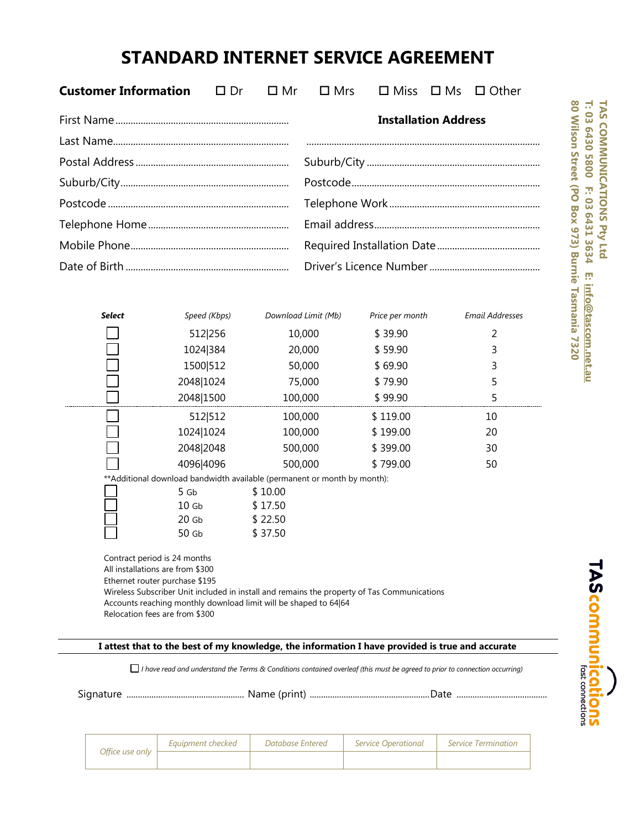## **STANDARD INTERNET SERVICE AGREEMENT**

| <b>Customer Information</b> | $\Box$ Dr                                                                 | $\square$ Mr       | $\Box$ Mrs                  | $\square$ Miss  | $\square$ Ms | $\Box$ Other           |
|-----------------------------|---------------------------------------------------------------------------|--------------------|-----------------------------|-----------------|--------------|------------------------|
|                             |                                                                           |                    | <b>Installation Address</b> |                 |              |                        |
|                             |                                                                           |                    |                             |                 |              |                        |
|                             |                                                                           |                    |                             |                 |              |                        |
|                             |                                                                           |                    |                             |                 |              |                        |
|                             |                                                                           |                    |                             |                 |              |                        |
|                             |                                                                           |                    |                             |                 |              |                        |
|                             |                                                                           |                    |                             |                 |              |                        |
|                             |                                                                           |                    |                             |                 |              |                        |
|                             |                                                                           |                    |                             |                 |              |                        |
| <b>Select</b>               | Speed (Kbps)                                                              |                    | Download Limit (Mb)         | Price per month |              | <b>Email Addresses</b> |
|                             |                                                                           |                    |                             |                 |              |                        |
|                             | 512 256                                                                   |                    | 10,000                      | \$39.90         |              | 2                      |
|                             | 1024 384                                                                  |                    | 20,000                      | \$59.90         |              | 3                      |
|                             | 1500 512                                                                  |                    | 50,000                      | \$69.90         |              | 3                      |
|                             | 2048 1024                                                                 |                    | 75,000                      | \$79.90         |              | 5                      |
|                             | 2048 1500                                                                 | 100,000            |                             | \$99.90         |              | 5                      |
|                             | 512 512                                                                   | 100,000            |                             | \$119.00        |              | 10                     |
|                             | 1024 1024                                                                 | 100,000            |                             | \$199.00        |              | 20                     |
|                             | 2048 2048                                                                 | 500,000            |                             | \$399.00        |              | 30                     |
|                             | 4096 4096                                                                 | 500,000            |                             | \$799.00        |              | 50                     |
|                             | ** Additional download bandwidth available (permanent or month by month): |                    |                             |                 |              |                        |
|                             | 5 Gb                                                                      | \$10.00            |                             |                 |              |                        |
|                             | 10 <sub>6b</sub><br>20 <sub>6b</sub>                                      | \$17.50<br>\$22.50 |                             |                 |              |                        |

80 Wilson Street (PO Box 973) Burnie Tasmania 7320 T: 03 6430 5800 F: 03 6431 3634 **TAS COMMUNICATIONS Pty Ltd 80 Wilson Street (PO Box 973) Burnie Tasmania 7320T: 03 6430 5800 F: 03 6431 3634 E: TAS COMMUNICATIONS Pty Ltd**  $\mathbf{r}$ info@tascom.net.au **[info@tascom.net.au](mailto:info@tascom.net.au)**

**TAScommunications** 

**I attest that to the best of my knowledge, the information I have provided is true and accurate**

*I have read and understand the Terms & Conditions contained overleaf (this must be agreed to prior to connection occurring)* 

Signature .................................................... Name (print) .....................................................Date ........................................

|                 | Eauipment checked | Database Entered | <i>Service Operational</i> | Service Termination |
|-----------------|-------------------|------------------|----------------------------|---------------------|
| Office use only |                   |                  |                            |                     |